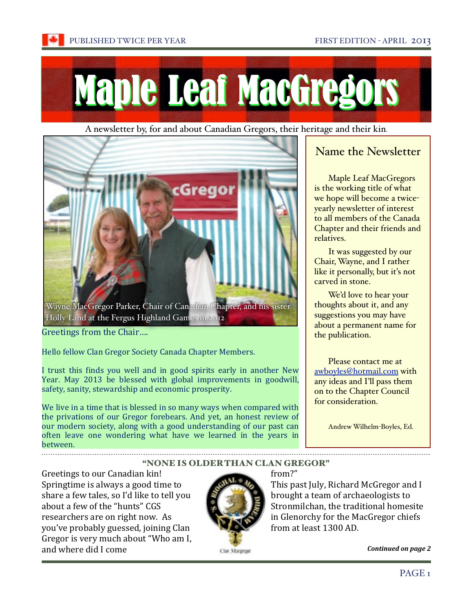

A newsletter by, for and about Canadian Gregors, their [heritage and their kin](file://localhost/Users/Andrew/Desktop/CGS/2013%20Feb%20newletter%20article.docx).



Holly Land at the Fergus Highland Games in 2012

Greetings from the Chair....

Hello fellow Clan Gregor Society Canada Chapter Members.

I trust this finds you well and in good spirits early in another New Year. May 2013 be blessed with global improvements in goodwill, safety, sanity, stewardship and economic prosperity.

We live in a time that is blessed in so many ways when compared with the privations of our Gregor forebears. And yet, an honest review of our modern society, along with a good understanding of our past can often leave one wondering what have we learned in the years in between.

# [Name the Newsletter](file://localhost/Users/Andrew/Desktop/CGS/2013%20Feb%20newletter%20article.docx)

[Maple Leaf MacGregors](file://localhost/Users/Andrew/Desktop/CGS/2013%20Feb%20newletter%20article.docx)  [is the working title of what](file://localhost/Users/Andrew/Desktop/CGS/2013%20Feb%20newletter%20article.docx)  [we hope will become a twice](file://localhost/Users/Andrew/Desktop/CGS/2013%20Feb%20newletter%20article.docx)[yearly newsletter of interest](file://localhost/Users/Andrew/Desktop/CGS/2013%20Feb%20newletter%20article.docx)  [to all members of the Canada](file://localhost/Users/Andrew/Desktop/CGS/2013%20Feb%20newletter%20article.docx)  [Chapter and their friends and](file://localhost/Users/Andrew/Desktop/CGS/2013%20Feb%20newletter%20article.docx)  [relatives.](file://localhost/Users/Andrew/Desktop/CGS/2013%20Feb%20newletter%20article.docx)

[It was suggested by our](file://localhost/Users/Andrew/Desktop/CGS/2013%20Feb%20newletter%20article.docx)  [Chair, Wayne, and I rather](file://localhost/Users/Andrew/Desktop/CGS/2013%20Feb%20newletter%20article.docx)  [like it personally, but it's not](file://localhost/Users/Andrew/Desktop/CGS/2013%20Feb%20newletter%20article.docx)  [carved in stone.](file://localhost/Users/Andrew/Desktop/CGS/2013%20Feb%20newletter%20article.docx) 

[We'd love to hear your](file://localhost/Users/Andrew/Desktop/CGS/2013%20Feb%20newletter%20article.docx)  [thoughts about it, and any](file://localhost/Users/Andrew/Desktop/CGS/2013%20Feb%20newletter%20article.docx)  suggestions you may have [about a permanent name for](file://localhost/Users/Andrew/Desktop/CGS/2013%20Feb%20newletter%20article.docx)  [the publication.](file://localhost/Users/Andrew/Desktop/CGS/2013%20Feb%20newletter%20article.docx)

[Please contact me at](file://localhost/Users/Andrew/Desktop/CGS/2013%20Feb%20newletter%20article.docx)  [awboyles@hotmail.com](mailto:awboyles@hotmail.com) [with](file://localhost/Users/Andrew/Desktop/CGS/2013%20Feb%20newletter%20article.docx)  [any ideas and I'll pass them](file://localhost/Users/Andrew/Desktop/CGS/2013%20Feb%20newletter%20article.docx)  [on to the Chapter Council](file://localhost/Users/Andrew/Desktop/CGS/2013%20Feb%20newletter%20article.docx)  [for consideration.](file://localhost/Users/Andrew/Desktop/CGS/2013%20Feb%20newletter%20article.docx)

[Andrew Wilhelm](file://localhost/Users/Andrew/Desktop/CGS/2013%20Feb%20newletter%20article.docx)-Boyles, Ed.

## "NONE IS OLDER THAN CLAN GREGOR"

Greetings to our Canadian kin! Springtime is always a good time to share a few tales, so I'd like to tell you about a few of the "hunts" CGS researchers are on right now. As you've probably guessed, joining Clan Gregor is very much about "Who am I, and where did I come



## $from 2"$

This past July, Richard McGregor and I brought a team of archaeologists to Stronmilchan, the traditional homesite in Glenorchy for the MacGregor chiefs from at least 1300 AD.

*Continued on page 2*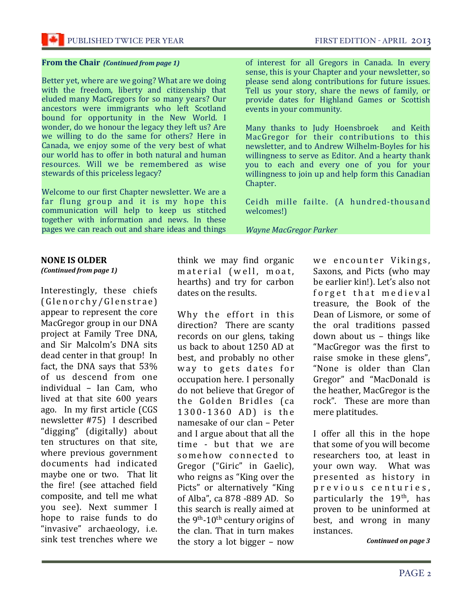#### **From the Chair (Continued from page 1)**

Better yet, where are we going? What are we doing with the freedom, liberty and citizenship that eluded many MacGregors for so many years? Our ancestors were immigrants who left Scotland bound for opportunity in the New World. I wonder, do we honour the legacy they left us? Are we willing to do the same for others? Here in Canada, we enjoy some of the very best of what our world has to offer in both natural and human resources. Will we be remembered as wise stewards of this priceless legacy?

Welcome to our first Chapter newsletter. We are a far flung group and it is my hope this communication will help to keep us stitched together with information and news. In these pages we can reach out and share ideas and things

#### **NONE IS OLDER**

(Continued from page 1)

Interestingly, these chiefs (Glenorchy/Glenstrae) appear to represent the core MacGregor group in our DNA project at Family Tree DNA, and Sir Malcolm's DNA sits dead center in that group! In fact, the DNA says that 53% of us descend from one individual - Ian Cam, who lived at that site 600 years ago. In my first article (CGS newsletter #75) I described "digging" (digitally) about ten structures on that site, where previous government documents had indicated maybe one or two. That lit the fire! (see attached field composite, and tell me what you see). Next summer I hope to raise funds to do "invasive" archaeology, *i.e.* sink test trenches where we

think we may find organic material (well, moat, hearths) and try for carbon dates on the results.

Why the effort in this direction? There are scanty records on our glens, taking us back to about 1250 AD at best, and probably no other way to gets dates for occupation here. I personally do not believe that Gregor of the Golden Bridles (ca 1300-1360 AD) is the namesake of our clan - Peter and I argue about that all the time - but that we are somehow connected to Gregor ("Giric" in Gaelic). who reigns as "King over the Picts" or alternatively "King of Alba", ca 878 -889 AD. So this search is really aimed at the 9<sup>th</sup>-10<sup>th</sup> century origins of the clan. That in turn makes the story a lot bigger  $-$  now

of interest for all Gregors in Canada. In every sense, this is your Chapter and your newsletter, so please send along contributions for future issues. Tell us your story, share the news of family, or provide dates for Highland Games or Scottish events in your community.

Many thanks to Judy Hoensbroek and Keith MacGregor for their contributions to this newsletter, and to Andrew Wilhelm-Boyles for his willingness to serve as Editor. And a hearty thank you to each and every one of you for your willingness to join up and help form this Canadian Chapter.

Ceidh mille failte. (A hundred-thousand welcomes!)

**Wayne MacGregor Parker** 

we encounter Vikings, Saxons, and Picts (who may be earlier kin!). Let's also not forget that medieval treasure, the Book of the Dean of Lismore, or some of the oral traditions passed down about us - things like "MacGregor was the first to raise smoke in these glens". "None is older than Clan Gregor" and "MacDonald is the heather, MacGregor is the rock". These are more than mere platitudes.

I offer all this in the hope that some of you will become researchers too, at least in your own way. What was presented as history in previous centuries, particularly the 19<sup>th</sup>, has proven to be uninformed at best, and wrong in many instances.

Continued on page 3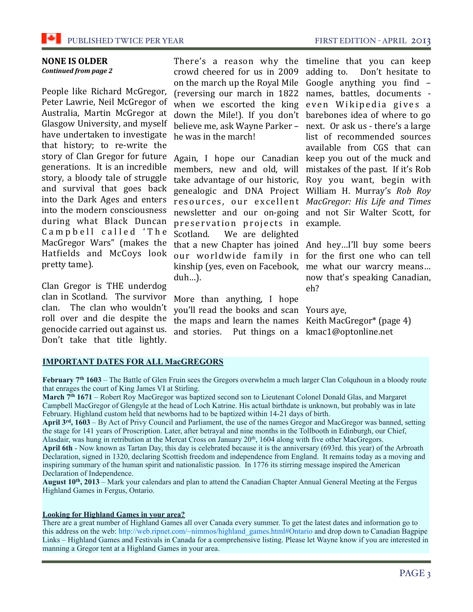

# **NONE IS OLDER**

#### **Continued from page 2**

People like Richard McGregor, Peter Lawrie, Neil McGregor of Australia, Martin McGregor at Glasgow University, and myself have undertaken to investigate that history; to re-write the story of Clan Gregor for future generations. It is an incredible story, a bloody tale of struggle and survival that goes back into the Dark Ages and enters into the modern consciousness during what Black Duncan Campbell called 'The MacGregor Wars" (makes the Hatfields and McCoys look pretty tame).

Clan Gregor is THE underdog clan in Scotland. The survivor clan. The clan who wouldn't roll over and die despite the genocide carried out against us. Don't take that title lightly.

There's a reason why the timeline that you can keep crowd cheered for us in 2009 adding to. Don't hesitate to on the march up the Royal Mile Google anything you find  $-$ (reversing our march in 1822 names, battles, documents when we escorted the king even Wikipedia gives a down the Mile!). If you don't barebones idea of where to go believe me, ask Wayne Parker - next. Or ask us - there's a large he was in the march!

Again, I hope our Canadian keep you out of the muck and members, new and old, will mistakes of the past. If it's Rob take advantage of our historic, Roy you want, begin with genealogic and DNA Project William H. Murray's Rob Roy resources, our excellent MacGregor: His Life and Times newsletter and our on-going and not Sir Walter Scott, for preservation projects in example. Scotland. We are delighted that a new Chapter has joined And hey...I'll buy some beers our worldwide family in for the first one who can tell kinship (yes, even on Facebook, me what our warcry means...  $duh...$ ).

More than anything, I hope you'll read the books and scan Yours aye, the maps and learn the names Keith MacGregor\* (page 4) and stories. Put things on a kmac1@optonline.net

list of recommended sources available from CGS that can

now that's speaking Canadian,  $eh?$ 

## **IMPORTANT DATES FOR ALL MacGREGORS**

February  $7<sup>th</sup> 1603$  – The Battle of Glen Fruin sees the Gregors overwhelm a much larger Clan Colquhoun in a bloody route that enrages the court of King James VI at Stirling.

March 7<sup>th</sup> 1671 – Robert Roy MacGregor was baptized second son to Lieutenant Colonel Donald Glas, and Margaret Campbell MacGregor of Glengyle at the head of Loch Katrine. His actual birthdate is unknown, but probably was in late February. Highland custom held that newborns had to be baptized within 14-21 days of birth.

April 3rd, 1603 – By Act of Privy Council and Parliament, the use of the names Gregor and MacGregor was banned, setting the stage for 141 years of Proscription. Later, after betrayal and nine months in the Tollbooth in Edinburgh, our Chief, Alasdair, was hung in retribution at the Mercat Cross on January 20<sup>th</sup>, 1604 along with five other MacGregors.

April 6th - Now known as Tartan Day, this day is celebrated because it is the anniversary (693rd. this year) of the Arbroath Declaration, signed in 1320, declaring Scottish freedom and independence from England. It remains today as a moving and inspiring summary of the human spirit and nationalistic passion. In 1776 its stirring message inspired the American Declaration of Independence.

August 10<sup>th</sup>, 2013 – Mark your calendars and plan to attend the Canadian Chapter Annual General Meeting at the Fergus Highland Games in Fergus, Ontario.

#### **Looking for Highland Games in your area?**

There are a great number of Highland Games all over Canada every summer. To get the latest dates and information go to this address on the web: http://web.ripnet.com/~nimmos/highland\_games.html#Ontario and drop down to Canadian Bagpipe Links - Highland Games and Festivals in Canada for a comprehensive listing. Please let Wayne know if you are interested in manning a Gregor tent at a Highland Games in your area.